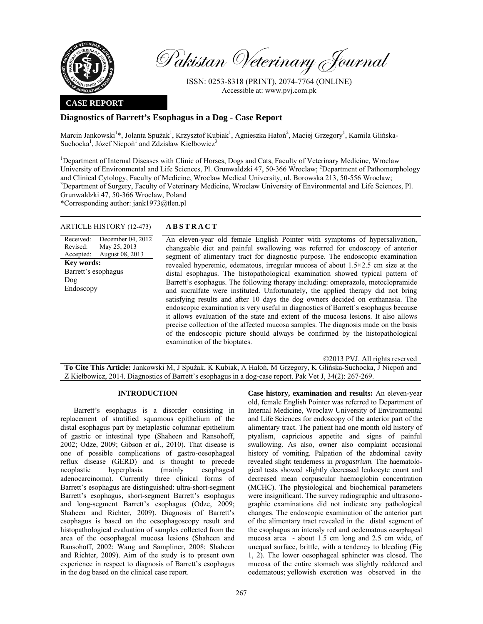

Pakistan Veterinary Journal

ISSN: 0253-8318 (PRINT), 2074-7764 (ONLINE) Accessible at: www.pvj.com.pk

## **CASE REPORT**

## **Diagnostics of Barrett's Esophagus in a Dog - Case Report**

Marcin Jankowski<sup>1</sup>\*, Jolanta Spużak<sup>1</sup>, Krzysztof Kubiak<sup>1</sup>, Agnieszka Hałoń<sup>2</sup>, Maciej Grzegory<sup>1</sup>, Kamila Glińska-Suchocka<sup>1</sup>, Józef Nicpoń<sup>1</sup> and  $\overline{Z}$ dzisław Kiełbowicz<sup>3</sup>

<sup>1</sup>Department of Internal Diseases with Clinic of Horses, Dogs and Cats, Faculty of Veterinary Medicine, Wroclaw University of Environmental and Life Sciences, Pl. Grunwaldzki 47, 50-366 Wroclaw; <sup>2</sup>Department of Pathomorphology and Clinical Cytology, Faculty of Medicine, Wroclaw Medical University, ul. Borowska 213, 50-556 Wroclaw; <sup>3</sup>Department of Surgery, Faculty of Veterinary Medicine, Wroclaw University of Environmental and Life Sciences, Pl. Grunwaldzki 47, 50-366 Wroclaw, Poland

\*Corresponding author: jank1973@tlen.pl

### ARTICLE HISTORY (12-473) **ABSTRACT**

# An eleven-year old female English Pointer with symptoms of hypersalivation,

Received: Revised: Accepted: December 04, 2012 May 25, 2013 August 08, 2013 **Key words:**  Barrett's esophagus Dog Endoscopy

changeable diet and painful swallowing was referred for endoscopy of anterior segment of alimentary tract for diagnostic purpose. The endoscopic examination revealed hyperemic, edematous, irregular mucosa of about 1.5×2.5 cm size at the distal esophagus. The histopathological examination showed typical pattern of Barrett's esophagus. The following therapy including: omeprazole, metoclopramide and sucralfate were instituted. Unfortunately, the applied therapy did not bring satisfying results and after 10 days the dog owners decided on euthanasia. The endoscopic examination is very useful in diagnostics of Barrett`s esophagus because it allows evaluation of the state and extent of the mucosa lesions. It also allows precise collection of the affected mucosa samples. The diagnosis made on the basis of the endoscopic picture should always be confirmed by the histopathological examination of the bioptates.

©2013 PVJ. All rights reserved **To Cite This Article:** Jankowski M, J Spużak, K Kubiak, A Hałoń, M Grzegory, K Glińska-Suchocka, J Nicpoń and Z Kiełbowicz, 2014. Diagnostics of Barrett's esophagus in a dog-case report. Pak Vet J, 34(2): 267-269.

### **INTRODUCTION**

Barrett's esophagus is a disorder consisting in replacement of stratified squamous epithelium of the distal esophagus part by metaplastic columnar epithelium of gastric or intestinal type (Shaheen and Ransohoff, 2002; Odze, 2009; Gibson *et al.,* 2010). That disease is one of possible complications of gastro-oesophageal reflux disease (GERD) and is thought to precede neoplastic hyperplasia (mainly esophageal adenocarcinoma). Currently three clinical forms of Barrett's esophagus are distinguished: ultra-short-segment Barrett's esophagus, short-segment Barrett's esophagus and long-segment Barrett's esophagus (Odze, 2009; Shaheen and Richter, 2009). Diagnosis of Barrett's esophagus is based on the oesophagoscopy result and histopathological evaluation of samples collected from the area of the oesophageal mucosa lesions (Shaheen and Ransohoff, 2002; Wang and Sampliner, 2008; Shaheen and Richter, 2009). Aim of the study is to present own experience in respect to diagnosis of Barrett's esophagus in the dog based on the clinical case report.

**Case history, examination and results:** An eleven-year old, female English Pointer was referred to Department of Internal Medicine, Wroclaw University of Environmental and Life Sciences for endoscopy of the anterior part of the alimentary tract. The patient had one month old history of ptyalism, capricious appetite and signs of painful swallowing. As also, owner also complaint occasional history of vomiting. Palpation of the abdominal cavity revealed slight tenderness in *progastrium*. The haematological tests showed slightly decreased leukocyte count and decreased mean corpuscular haemoglobin concentration (MCHC). The physiological and biochemical parameters were insignificant. The survey radiographic and ultrasonographic examinations did not indicate any pathological changes. The endoscopic examination of the anterior part of the alimentary tract revealed in the distal segment of the esophagus an intensly red and oedematous oesophageal mucosa area - about 1.5 cm long and 2.5 cm wide, of unequal surface, brittle, with a tendency to bleeding (Fig 1, 2). The lower oesophageal sphincter was closed. The mucosa of the entire stomach was slightly reddened and oedematous; yellowish excretion was observed in the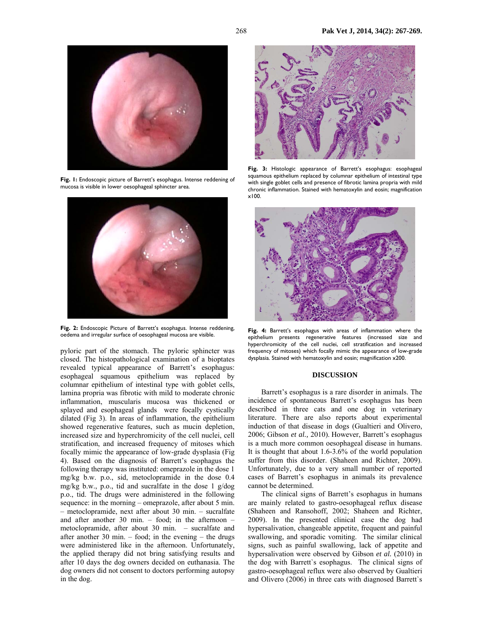

**Fig. 1:** Endoscopic picture of Barrett's esophagus. Intense reddening of mucosa is visible in lower oesophageal sphincter area.



**Fig. 2:** Endoscopic Picture of Barrett's esophagus. Intense reddening, oedema and irregular surface of oesophageal mucosa are visible.

pyloric part of the stomach. The pyloric sphincter was closed. The histopathological examination of a bioptates revealed typical appearance of Barrett's esophagus: esophageal squamous epithelium was replaced by columnar epithelium of intestinal type with goblet cells, lamina propria was fibrotic with mild to moderate chronic inflammation, muscularis mucosa was thickened or splayed and esophageal glands were focally cystically dilated (Fig 3). In areas of inflammation, the epithelium showed regenerative features, such as mucin depletion, increased size and hyperchromicity of the cell nuclei, cell stratification, and increased frequency of mitoses which focally mimic the appearance of low-grade dysplasia (Fig 4). Based on the diagnosis of Barrett's esophagus the following therapy was instituted: omeprazole in the dose 1 mg/kg b.w. p.o., sid, metoclopramide in the dose 0.4 mg/kg b.w., p.o., tid and sucralfate in the dose 1 g/dog p.o., tid. The drugs were administered in the following sequence: in the morning – omeprazole, after about 5 min. – metoclopramide, next after about 30 min. – sucralfate and after another 30 min. – food; in the afternoon – metoclopramide, after about 30 min. – sucralfate and after another 30 min.  $-$  food; in the evening  $-$  the drugs were administered like in the afternoon. Unfortunately, the applied therapy did not bring satisfying results and after 10 days the dog owners decided on euthanasia. The dog owners did not consent to doctors performing autopsy in the dog.



**Fig. 3:** Histologic appearance of Barrett's esophagus: esophageal squamous epithelium replaced by columnar epithelium of intestinal type with single goblet cells and presence of fibrotic lamina propria with mild chronic inflammation. Stained with hematoxylin and eosin; magnification x100.



**Fig. 4:** Barrett's esophagus with areas of inflammation where the epithelium presents regenerative features (increased size and hyperchromicity of the cell nuclei, cell stratification and increased frequency of mitoses) which focally mimic the appearance of low-grade dysplasia. Stained with hematoxylin and eosin; magnification x200.

### **DISCUSSION**

Barrett's esophagus is a rare disorder in animals. The incidence of spontaneous Barrett's esophagus has been described in three cats and one dog in veterinary literature. There are also reports about experimental induction of that disease in dogs (Gualtieri and Olivero, 2006; Gibson *et al.,* 2010). However, Barrett's esophagus is a much more common oesophageal disease in humans. It is thought that about 1.6-3.6% of the world population suffer from this disorder. (Shaheen and Richter, 2009). Unfortunately, due to a very small number of reported cases of Barrett's esophagus in animals its prevalence cannot be determined.

The clinical signs of Barrett's esophagus in humans are mainly related to gastro-oesophageal reflux disease (Shaheen and Ransohoff, 2002; Shaheen and Richter, 2009). In the presented clinical case the dog had hypersalivation, changeable appetite, frequent and painful swallowing, and sporadic vomiting. The similar clinical signs, such as painful swallowing, lack of appetite and hypersalivation were observed by Gibson *et al.* (2010) in the dog with Barrett`s esophagus. The clinical signs of gastro-oesophageal reflux were also observed by Gualtieri and Olivero (2006) in three cats with diagnosed Barrett`s